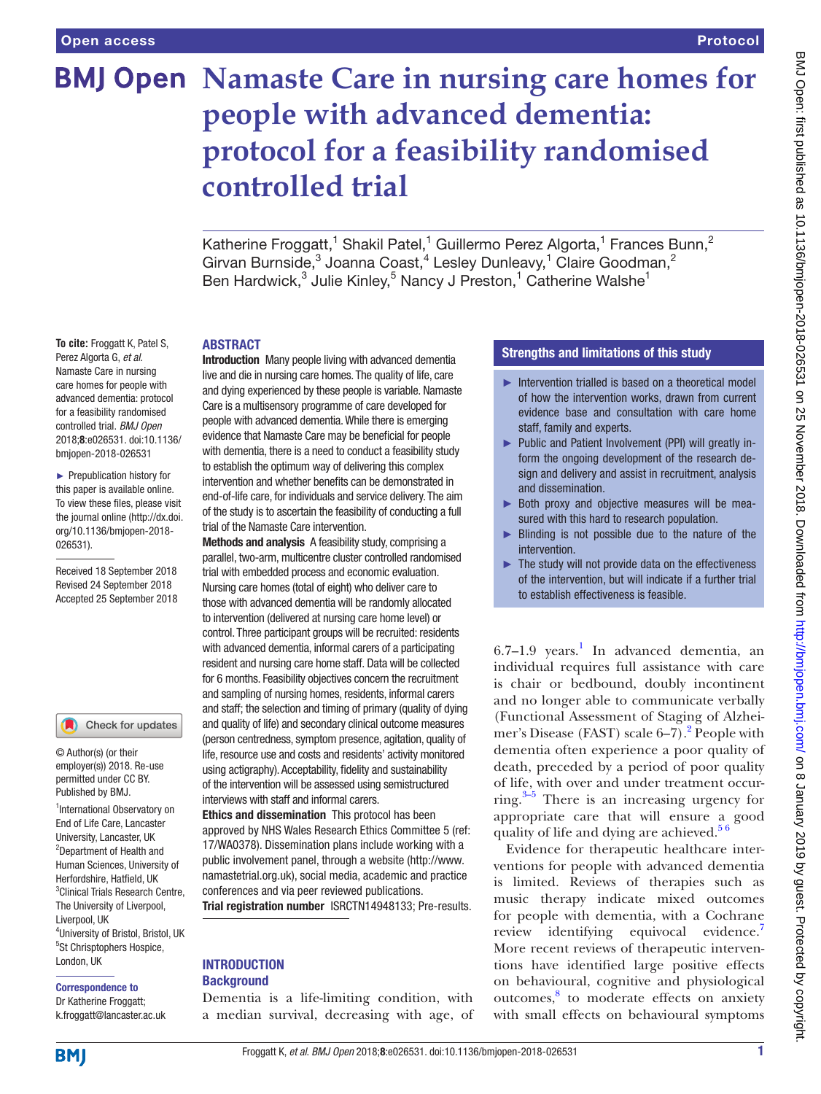**To cite:** Froggatt K, Patel S, Perez Algorta G, *et al*. Namaste Care in nursing care homes for people with advanced dementia: protocol for a feasibility randomised controlled trial. *BMJ Open* 2018;8:e026531. doi:10.1136/ bmjopen-2018-026531 ► Prepublication history for this paper is available online. To view these files, please visit the journal online [\(http://dx.doi.](http://dx.doi.org/10.1136/bmjopen-2018-026531) [org/10.1136/bmjopen-2018-](http://dx.doi.org/10.1136/bmjopen-2018-026531)

# **BMJ Open Namaste Care in nursing care homes for people with advanced dementia: protocol for a feasibility randomised controlled trial**

Katherine Froggatt,<sup>1</sup> Shakil Patel,<sup>1</sup> Guillermo Perez Algorta,<sup>1</sup> Frances Bunn,<sup>2</sup> Girvan Burnside, $^3$  Joanna Coast, $^4$  Lesley Dunleavy, $^1$  Claire Goodman, $^2$ Ben Hardwick,<sup>3</sup> Julie Kinley,<sup>5</sup> Nancy J Preston,<sup>1</sup> Catherine Walshe<sup>1</sup>

## **ABSTRACT**

Introduction Many people living with advanced dementia live and die in nursing care homes. The quality of life, care and dying experienced by these people is variable. Namaste Care is a multisensory programme of care developed for people with advanced dementia. While there is emerging evidence that Namaste Care may be beneficial for people with dementia, there is a need to conduct a feasibility study to establish the optimum way of delivering this complex intervention and whether benefits can be demonstrated in end-of-life care, for individuals and service delivery. The aim of the study is to ascertain the feasibility of conducting a full trial of the Namaste Care intervention.

Methods and analysis A feasibility study, comprising a parallel, two-arm, multicentre cluster controlled randomised trial with embedded process and economic evaluation. Nursing care homes (total of eight) who deliver care to those with advanced dementia will be randomly allocated to intervention (delivered at nursing care home level) or control. Three participant groups will be recruited: residents with advanced dementia, informal carers of a participating resident and nursing care home staff. Data will be collected for 6 months. Feasibility objectives concern the recruitment and sampling of nursing homes, residents, informal carers and staff; the selection and timing of primary (quality of dying and quality of life) and secondary clinical outcome measures (person centredness, symptom presence, agitation, quality of life, resource use and costs and residents' activity monitored using actigraphy). Acceptability, fidelity and sustainability of the intervention will be assessed using semistructured interviews with staff and informal carers.

Ethics and dissemination This protocol has been approved by NHS Wales Research Ethics Committee 5 (ref: 17/WA0378). Dissemination plans include working with a public involvement panel, through a website ([http://www.](http://www.namastetrial.org.uk) [namastetrial.org.uk\)](http://www.namastetrial.org.uk), social media, academic and practice conferences and via peer reviewed publications.

Trial registration number <ISRCTN14948133>; Pre-results.

## **INTRODUCTION**

## **Background**

Dementia is a life-limiting condition, with a median survival, decreasing with age, of

#### Strengths and limitations of this study

- ► Intervention trialled is based on a theoretical model of how the intervention works, drawn from current evidence base and consultation with care home staff, family and experts.
- ► Public and Patient Involvement (PPI) will greatly inform the ongoing development of the research design and delivery and assist in recruitment, analysis and dissemination.
- ► Both proxy and objective measures will be measured with this hard to research population.
- ► Blinding is not possible due to the nature of the intervention.
- ► The study will not provide data on the effectiveness of the intervention, but will indicate if a further trial to establish effectiveness is feasible.

6.7-1.9 years.<sup>1</sup> In advanced dementia, an individual requires full assistance with care is chair or bedbound, doubly incontinent and no longer able to communicate verbally (Functional Assessment of Staging of Alzhei-mer's Disease (FAST) scale 6–7).<sup>[2](#page-9-1)</sup> People with dementia often experience a poor quality of death, preceded by a period of poor quality of life, with over and under treatment occurring. $3-5$  There is an increasing urgency for appropriate care that will ensure a good quality of life and dying are achieved.<sup>56</sup>

Evidence for therapeutic healthcare interventions for people with advanced dementia is limited. Reviews of therapies such as music therapy indicate mixed outcomes for people with dementia, with a Cochrane review identifying equivocal evidence.<sup>7</sup> More recent reviews of therapeutic interventions have identified large positive effects on behavioural, cognitive and physiological outcomes,<sup>[8](#page-9-5)</sup> to moderate effects on anxiety with small effects on behavioural symptoms

<sup>2</sup>Department of Health and Human Sciences, University of

© Author(s) (or their employer(s)) 2018. Re-use permitted under CC BY. Published by BMJ.

[026531\)](http://dx.doi.org/10.1136/bmjopen-2018-026531).

Received 18 September 2018 Revised 24 September 2018 Accepted 25 September 2018

Herfordshire, Hatfield, UK 3 Clinical Trials Research Centre, The University of Liverpool, Liverpool, LIK 4 University of Bristol, Bristol, UK 5 St Chrisptophers Hospice, London, UK

1 International Observatory on End of Life Care, Lancaster University, Lancaster, UK

Check for updates

#### Correspondence to

Dr Katherine Froggatt; k.froggatt@lancaster.ac.uk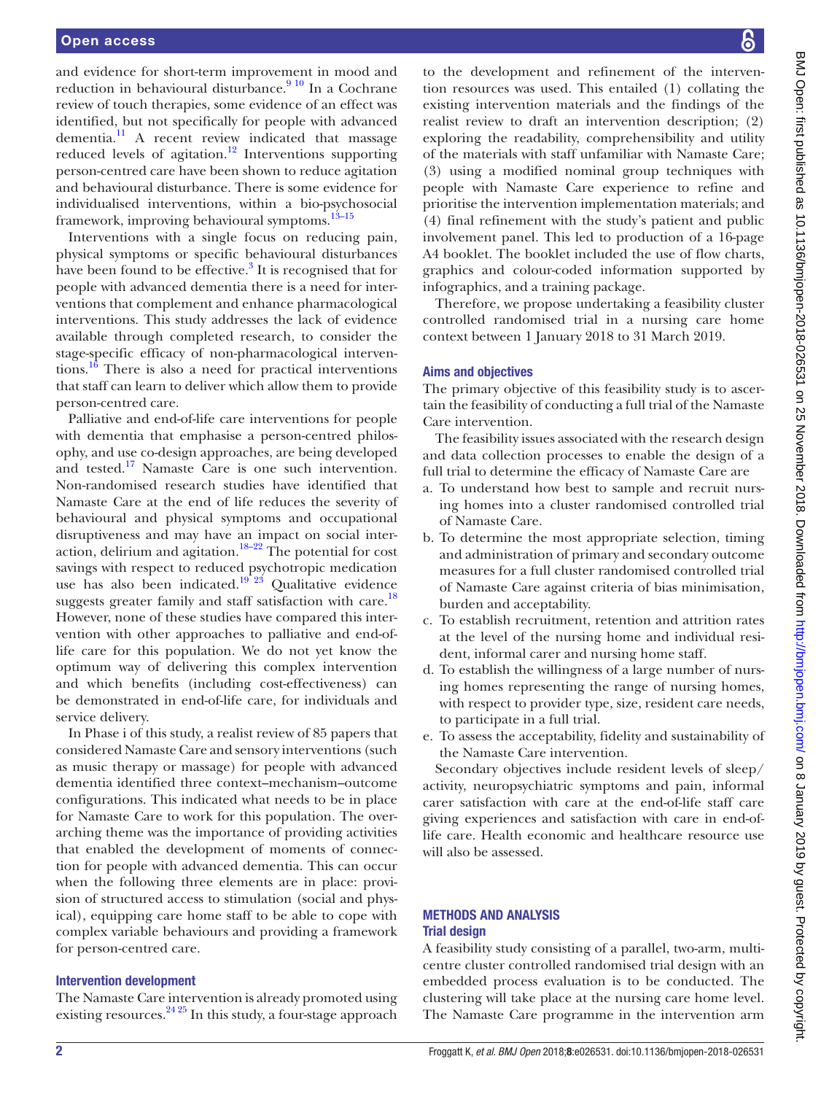and evidence for short-term improvement in mood and reduction in behavioural disturbance.<sup>9 10</sup> In a Cochrane review of touch therapies, some evidence of an effect was identified, but not specifically for people with advanced dementia.<sup>[11](#page-9-7)</sup> A recent review indicated that massage reduced levels of agitation.<sup>12</sup> Interventions supporting person-centred care have been shown to reduce agitation and behavioural disturbance. There is some evidence for individualised interventions, within a bio-psychosocial framework, improving behavioural symptoms.[13–15](#page-9-9)

Interventions with a single focus on reducing pain, physical symptoms or specific behavioural disturbances have been found to be effective.<sup>[3](#page-9-2)</sup> It is recognised that for people with advanced dementia there is a need for interventions that complement and enhance pharmacological interventions. This study addresses the lack of evidence available through completed research, to consider the stage-specific efficacy of non-pharmacological interven-tions.<sup>[16](#page-9-10)</sup> There is also a need for practical interventions that staff can learn to deliver which allow them to provide person-centred care.

Palliative and end-of-life care interventions for people with dementia that emphasise a person-centred philosophy, and use co-design approaches, are being developed and tested.<sup>17</sup> Namaste Care is one such intervention. Non-randomised research studies have identified that Namaste Care at the end of life reduces the severity of behavioural and physical symptoms and occupational disruptiveness and may have an impact on social interaction, delirium and agitation.<sup>18–22</sup> The potential for cost savings with respect to reduced psychotropic medication use has also been indicated.<sup>19'23</sup> Qualitative evidence suggests greater family and staff satisfaction with care.<sup>[18](#page-9-12)</sup> However, none of these studies have compared this intervention with other approaches to palliative and end-oflife care for this population. We do not yet know the optimum way of delivering this complex intervention and which benefits (including cost-effectiveness) can be demonstrated in end-of-life care, for individuals and service delivery.

In Phase i of this study, a realist review of 85 papers that considered Namaste Care and sensory interventions (such as music therapy or massage) for people with advanced dementia identified three context–mechanism–outcome configurations. This indicated what needs to be in place for Namaste Care to work for this population. The overarching theme was the importance of providing activities that enabled the development of moments of connection for people with advanced dementia. This can occur when the following three elements are in place: provision of structured access to stimulation (social and physical), equipping care home staff to be able to cope with complex variable behaviours and providing a framework for person-centred care.

#### Intervention development

The Namaste Care intervention is already promoted using existing resources. $24\frac{25}{1}$  In this study, a four-stage approach

to the development and refinement of the intervention resources was used. This entailed (1) collating the existing intervention materials and the findings of the realist review to draft an intervention description; (2) exploring the readability, comprehensibility and utility of the materials with staff unfamiliar with Namaste Care; (3) using a modified nominal group techniques with people with Namaste Care experience to refine and prioritise the intervention implementation materials; and (4) final refinement with the study's patient and public involvement panel. This led to production of a 16-page A4 booklet. The booklet included the use of flow charts, graphics and colour-coded information supported by infographics, and a training package.

Therefore, we propose undertaking a feasibility cluster controlled randomised trial in a nursing care home context between 1 January 2018 to 31 March 2019.

#### Aims and objectives

The primary objective of this feasibility study is to ascertain the feasibility of conducting a full trial of the Namaste Care intervention.

The feasibility issues associated with the research design and data collection processes to enable the design of a full trial to determine the efficacy of Namaste Care are

- a. To understand how best to sample and recruit nursing homes into a cluster randomised controlled trial of Namaste Care.
- b. To determine the most appropriate selection, timing and administration of primary and secondary outcome measures for a full cluster randomised controlled trial of Namaste Care against criteria of bias minimisation, burden and acceptability.
- c. To establish recruitment, retention and attrition rates at the level of the nursing home and individual resident, informal carer and nursing home staff.
- d. To establish the willingness of a large number of nursing homes representing the range of nursing homes, with respect to provider type, size, resident care needs, to participate in a full trial.
- e. To assess the acceptability, fidelity and sustainability of the Namaste Care intervention.

Secondary objectives include resident levels of sleep/ activity, neuropsychiatric symptoms and pain, informal carer satisfaction with care at the end-of-life staff care giving experiences and satisfaction with care in end-oflife care. Health economic and healthcare resource use will also be assessed.

#### Methods and analysis Trial design

A feasibility study consisting of a parallel, two-arm, multicentre cluster controlled randomised trial design with an embedded process evaluation is to be conducted. The clustering will take place at the nursing care home level. The Namaste Care programme in the intervention arm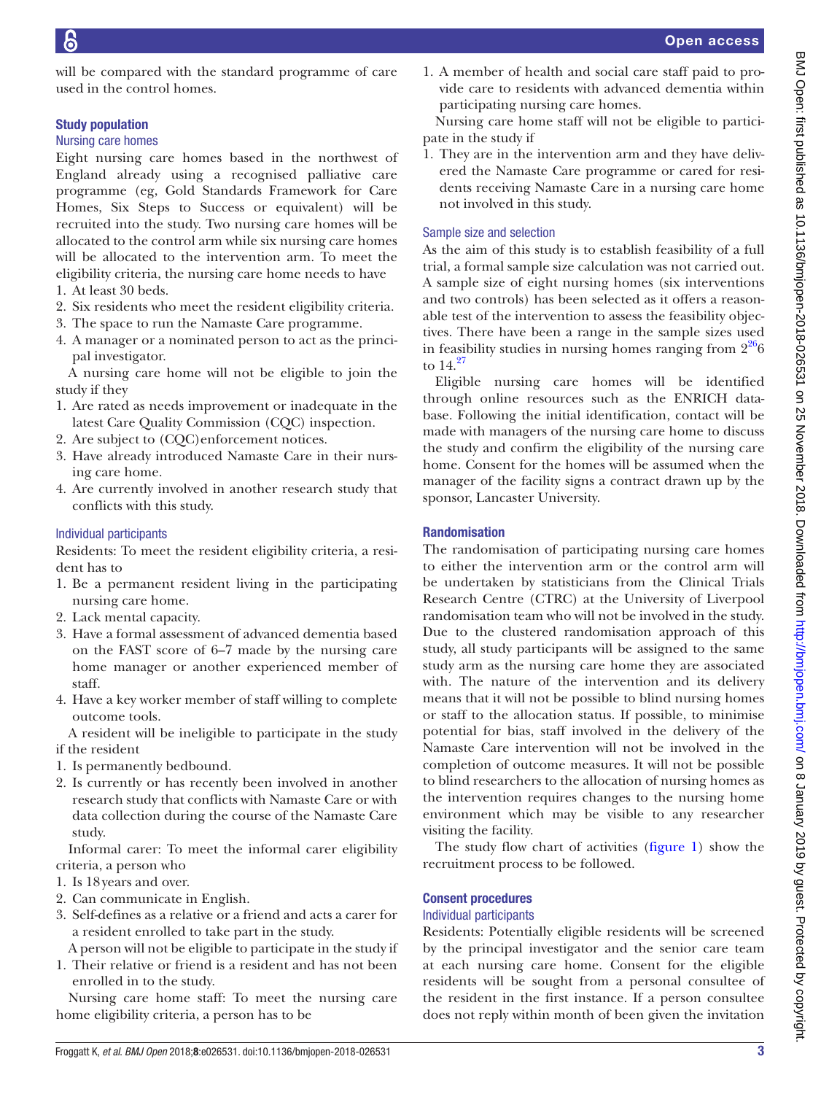will be compared with the standard programme of care used in the control homes.

## Study population

## Nursing care homes

Eight nursing care homes based in the northwest of England already using a recognised palliative care programme (eg, Gold Standards Framework for Care Homes, Six Steps to Success or equivalent) will be recruited into the study. Two nursing care homes will be allocated to the control arm while six nursing care homes will be allocated to the intervention arm. To meet the eligibility criteria, the nursing care home needs to have 1. At least 30 beds.

- 2. Six residents who meet the resident eligibility criteria.
- 3. The space to run the Namaste Care programme.
- 4. A manager or a nominated person to act as the principal investigator.

A nursing care home will not be eligible to join the study if they

- 1. Are rated as needs improvement or inadequate in the latest Care Quality Commission (CQC) inspection.
- 2. Are subject to (CQC)enforcement notices.
- 3. Have already introduced Namaste Care in their nursing care home.
- 4. Are currently involved in another research study that conflicts with this study.

## Individual participants

Residents: To meet the resident eligibility criteria, a resident has to

- 1. Be a permanent resident living in the participating nursing care home.
- 2. Lack mental capacity.
- 3. Have a formal assessment of advanced dementia based on the FAST score of 6–7 made by the nursing care home manager or another experienced member of staff.
- 4. Have a key worker member of staff willing to complete outcome tools.

A resident will be ineligible to participate in the study if the resident

- 1. Is permanently bedbound.
- 2. Is currently or has recently been involved in another research study that conflicts with Namaste Care or with data collection during the course of the Namaste Care study.

Informal carer: To meet the informal carer eligibility criteria, a person who

- 1. Is 18years and over.
- 2. Can communicate in English.
- 3. Self-defines as a relative or a friend and acts a carer for a resident enrolled to take part in the study.
- A person will not be eligible to participate in the study if
- 1. Their relative or friend is a resident and has not been enrolled in to the study.

Nursing care home staff: To meet the nursing care home eligibility criteria, a person has to be

1. A member of health and social care staff paid to provide care to residents with advanced dementia within participating nursing care homes.

Nursing care home staff will not be eligible to participate in the study if

1. They are in the intervention arm and they have delivered the Namaste Care programme or cared for residents receiving Namaste Care in a nursing care home not involved in this study.

## Sample size and selection

As the aim of this study is to establish feasibility of a full trial, a formal sample size calculation was not carried out. A sample size of eight nursing homes (six interventions and two controls) has been selected as it offers a reasonable test of the intervention to assess the feasibility objectives. There have been a range in the sample sizes used in feasibility studies in nursing homes ranging from  $2^{26}6$ to 14.<sup>[27](#page-9-16)</sup>

Eligible nursing care homes will be identified through online resources such as the ENRICH database. Following the initial identification, contact will be made with managers of the nursing care home to discuss the study and confirm the eligibility of the nursing care home. Consent for the homes will be assumed when the manager of the facility signs a contract drawn up by the sponsor, Lancaster University.

## Randomisation

The randomisation of participating nursing care homes to either the intervention arm or the control arm will be undertaken by statisticians from the Clinical Trials Research Centre (CTRC) at the University of Liverpool randomisation team who will not be involved in the study. Due to the clustered randomisation approach of this study, all study participants will be assigned to the same study arm as the nursing care home they are associated with. The nature of the intervention and its delivery means that it will not be possible to blind nursing homes or staff to the allocation status. If possible, to minimise potential for bias, staff involved in the delivery of the Namaste Care intervention will not be involved in the completion of outcome measures. It will not be possible to blind researchers to the allocation of nursing homes as the intervention requires changes to the nursing home environment which may be visible to any researcher visiting the facility.

The study flow chart of activities [\(figure](#page-3-0) 1) show the recruitment process to be followed.

## Consent procedures

## Individual participants

Residents: Potentially eligible residents will be screened by the principal investigator and the senior care team at each nursing care home. Consent for the eligible residents will be sought from a personal consultee of the resident in the first instance. If a person consultee does not reply within month of been given the invitation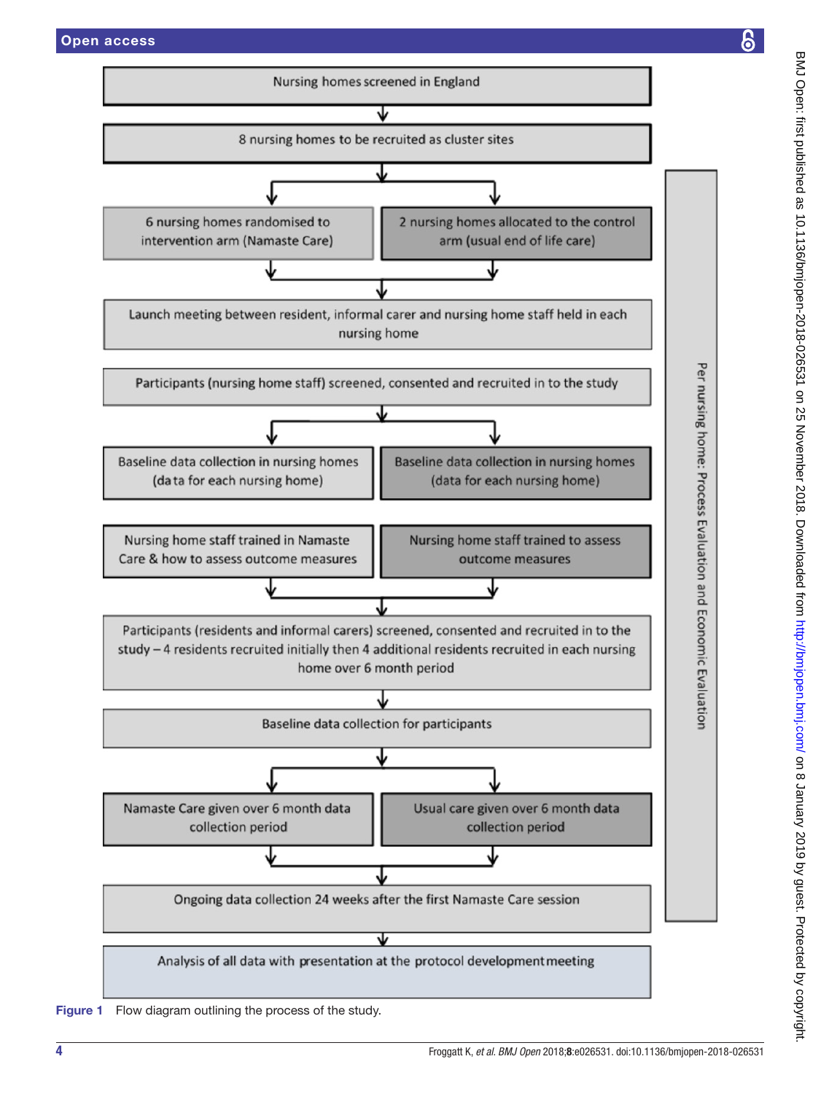

<span id="page-3-0"></span>Figure 1 Flow diagram outlining the process of the study.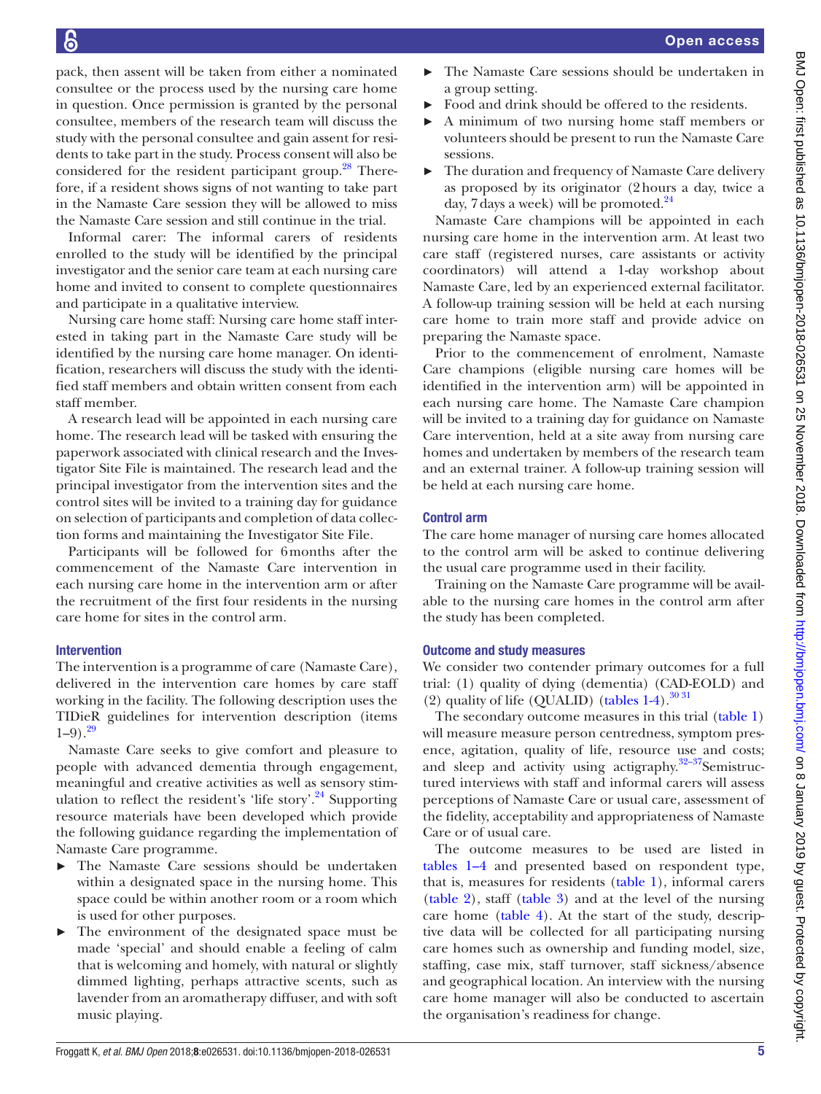pack, then assent will be taken from either a nominated consultee or the process used by the nursing care home in question. Once permission is granted by the personal consultee, members of the research team will discuss the study with the personal consultee and gain assent for residents to take part in the study. Process consent will also be considered for the resident participant group. $^{28}$  Therefore, if a resident shows signs of not wanting to take part in the Namaste Care session they will be allowed to miss the Namaste Care session and still continue in the trial.

Informal carer: The informal carers of residents enrolled to the study will be identified by the principal investigator and the senior care team at each nursing care home and invited to consent to complete questionnaires and participate in a qualitative interview.

Nursing care home staff: Nursing care home staff interested in taking part in the Namaste Care study will be identified by the nursing care home manager. On identification, researchers will discuss the study with the identified staff members and obtain written consent from each staff member.

A research lead will be appointed in each nursing care home. The research lead will be tasked with ensuring the paperwork associated with clinical research and the Investigator Site File is maintained. The research lead and the principal investigator from the intervention sites and the control sites will be invited to a training day for guidance on selection of participants and completion of data collection forms and maintaining the Investigator Site File.

Participants will be followed for 6months after the commencement of the Namaste Care intervention in each nursing care home in the intervention arm or after the recruitment of the first four residents in the nursing care home for sites in the control arm.

#### Intervention

The intervention is a programme of care (Namaste Care), delivered in the intervention care homes by care staff working in the facility. The following description uses the TIDieR guidelines for intervention description (items  $1-9)$ .<sup>[29](#page-9-18)</sup>

Namaste Care seeks to give comfort and pleasure to people with advanced dementia through engagement, meaningful and creative activities as well as sensory stimulation to reflect the resident's 'life story'. $^{24}$  $^{24}$  $^{24}$  Supporting resource materials have been developed which provide the following guidance regarding the implementation of Namaste Care programme.

- ► The Namaste Care sessions should be undertaken within a designated space in the nursing home. This space could be within another room or a room which is used for other purposes.
- The environment of the designated space must be made 'special' and should enable a feeling of calm that is welcoming and homely, with natural or slightly dimmed lighting, perhaps attractive scents, such as lavender from an aromatherapy diffuser, and with soft music playing.
- The Namaste Care sessions should be undertaken in a group setting.
- ► Food and drink should be offered to the residents.
- ► A minimum of two nursing home staff members or volunteers should be present to run the Namaste Care sessions.
- ► The duration and frequency of Namaste Care delivery as proposed by its originator (2hours a day, twice a day, 7 days a week) will be promoted. $24$

Namaste Care champions will be appointed in each nursing care home in the intervention arm. At least two care staff (registered nurses, care assistants or activity coordinators) will attend a 1-day workshop about Namaste Care, led by an experienced external facilitator. A follow-up training session will be held at each nursing care home to train more staff and provide advice on preparing the Namaste space.

Prior to the commencement of enrolment, Namaste Care champions (eligible nursing care homes will be identified in the intervention arm) will be appointed in each nursing care home. The Namaste Care champion will be invited to a training day for guidance on Namaste Care intervention, held at a site away from nursing care homes and undertaken by members of the research team and an external trainer. A follow-up training session will be held at each nursing care home.

#### Control arm

The care home manager of nursing care homes allocated to the control arm will be asked to continue delivering the usual care programme used in their facility.

Training on the Namaste Care programme will be available to the nursing care homes in the control arm after the study has been completed.

#### Outcome and study measures

We consider two contender primary outcomes for a full trial: (1) quality of dying (dementia) (CAD-EOLD) and (2) quality of life (QUALID) [\(tables](#page-5-0)  $1-4$ ).<sup>[30 31](#page-9-19)</sup>

The secondary outcome measures in this trial [\(table](#page-5-0) 1) will measure measure person centredness, symptom presence, agitation, quality of life, resource use and costs; and sleep and activity using actigraphy. $32-37$ Semistructured interviews with staff and informal carers will assess perceptions of Namaste Care or usual care, assessment of the fidelity, acceptability and appropriateness of Namaste Care or of usual care.

The outcome measures to be used are listed in [tables](#page-5-0) 1–4 and presented based on respondent type, that is, measures for residents ([table](#page-5-0) 1), informal carers [\(table](#page-5-1) 2), staff ([table](#page-6-0) 3) and at the level of the nursing care home [\(table](#page-6-1) 4). At the start of the study, descriptive data will be collected for all participating nursing care homes such as ownership and funding model, size, staffing, case mix, staff turnover, staff sickness/absence and geographical location. An interview with the nursing care home manager will also be conducted to ascertain the organisation's readiness for change.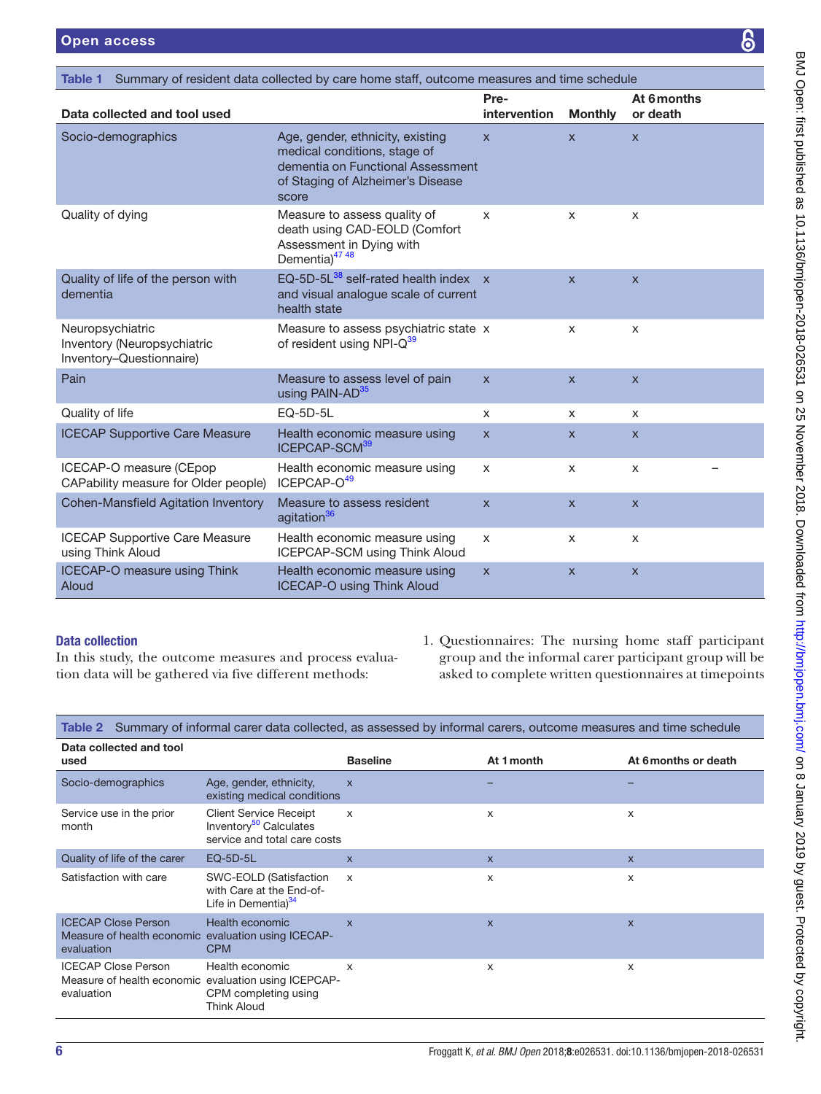<span id="page-5-0"></span>

| Summary of resident data collected by care home staff, outcome measures and time schedule<br>Table 1 |                                                                                                                                                     |                           |                           |                         |
|------------------------------------------------------------------------------------------------------|-----------------------------------------------------------------------------------------------------------------------------------------------------|---------------------------|---------------------------|-------------------------|
| Data collected and tool used                                                                         |                                                                                                                                                     | Pre-<br>intervention      | <b>Monthly</b>            | At 6 months<br>or death |
| Socio-demographics                                                                                   | Age, gender, ethnicity, existing<br>medical conditions, stage of<br>dementia on Functional Assessment<br>of Staging of Alzheimer's Disease<br>score | $\mathsf{x}$              | $\mathsf{x}$              | $\mathsf{x}$            |
| Quality of dying                                                                                     | Measure to assess quality of<br>death using CAD-EOLD (Comfort<br>Assessment in Dying with<br>Dementia) <sup>47</sup> 48                             | $\boldsymbol{\mathsf{x}}$ | X                         | X                       |
| Quality of life of the person with<br>dementia                                                       | EQ-5D-5L $^{38}$ self-rated health index $\times$<br>and visual analogue scale of current<br>health state                                           |                           | $\mathsf{x}$              | $\overline{\mathsf{x}}$ |
| Neuropsychiatric<br>Inventory (Neuropsychiatric<br>Inventory-Questionnaire)                          | Measure to assess psychiatric state x<br>of resident using NPI-Q <sup>39</sup>                                                                      |                           | X                         | X                       |
| Pain                                                                                                 | Measure to assess level of pain<br>using PAIN-AD <sup>35</sup>                                                                                      | $\mathsf{x}$              | $\mathsf{x}$              | $\mathsf{x}$            |
| Quality of life                                                                                      | $EQ-5D-5L$                                                                                                                                          | $\mathsf{x}$              | X                         | $\times$                |
| <b>ICECAP Supportive Care Measure</b>                                                                | Health economic measure using<br>ICEPCAP-SCM <sup>39</sup>                                                                                          | $\boldsymbol{\mathsf{X}}$ | $\boldsymbol{\mathsf{X}}$ | $\mathsf{X}$            |
| ICECAP-O measure (CEpop<br>CAPability measure for Older people)                                      | Health economic measure using<br>ICEPCAP-O <sup>49</sup>                                                                                            | $\mathsf{X}$              | $\times$                  | X                       |
| Cohen-Mansfield Agitation Inventory                                                                  | Measure to assess resident<br>agitation <sup>36</sup>                                                                                               | $\overline{\mathsf{x}}$   | $\overline{\mathsf{x}}$   | $\mathsf{x}$            |
| <b>ICECAP Supportive Care Measure</b><br>using Think Aloud                                           | Health economic measure using<br><b>ICEPCAP-SCM using Think Aloud</b>                                                                               | $\mathsf{x}$              | $\times$                  | $\mathsf{X}$            |
| <b>ICECAP-O measure using Think</b><br>Aloud                                                         | Health economic measure using<br><b>ICECAP-O using Think Aloud</b>                                                                                  | $\mathsf{x}$              | $\overline{\mathsf{x}}$   | $\pmb{\times}$          |

#### Data collection

In this study, the outcome measures and process evaluation data will be gathered via five different methods:

1. Questionnaires: The nursing home staff participant group and the informal carer participant group will be asked to complete written questionnaires at timepoints

<span id="page-5-1"></span>

|  | Table 2 Summary of informal carer data collected, as assessed by informal carers, outcome measures and time schedule |  |  |
|--|----------------------------------------------------------------------------------------------------------------------|--|--|
|--|----------------------------------------------------------------------------------------------------------------------|--|--|

| Data collected and tool<br>used                                                                  |                                                                                                     | <b>Baseline</b> | At 1 month   | At 6 months or death      |
|--------------------------------------------------------------------------------------------------|-----------------------------------------------------------------------------------------------------|-----------------|--------------|---------------------------|
| Socio-demographics                                                                               | Age, gender, ethnicity,<br>existing medical conditions                                              | $\mathsf{x}$    |              |                           |
| Service use in the prior<br>month                                                                | <b>Client Service Receipt</b><br>Inventory <sup>50</sup> Calculates<br>service and total care costs | $\mathsf{x}$    | X            | X                         |
| Quality of life of the carer                                                                     | EQ-5D-5L                                                                                            | $\mathsf{x}$    | $\mathsf{x}$ | $\mathsf{x}$              |
| Satisfaction with care                                                                           | SWC-EOLD (Satisfaction<br>with Care at the End-of-<br>Life in Dementia) $34$                        | $\times$        | X            | X                         |
| <b>ICECAP Close Person</b><br>Measure of health economic evaluation using ICECAP-<br>evaluation  | Health economic<br><b>CPM</b>                                                                       | $\mathsf{x}$    | $\mathsf{x}$ | $\boldsymbol{\mathsf{x}}$ |
| <b>ICECAP Close Person</b><br>Measure of health economic evaluation using ICEPCAP-<br>evaluation | Health economic<br>CPM completing using<br>Think Aloud                                              | X               | X            | X                         |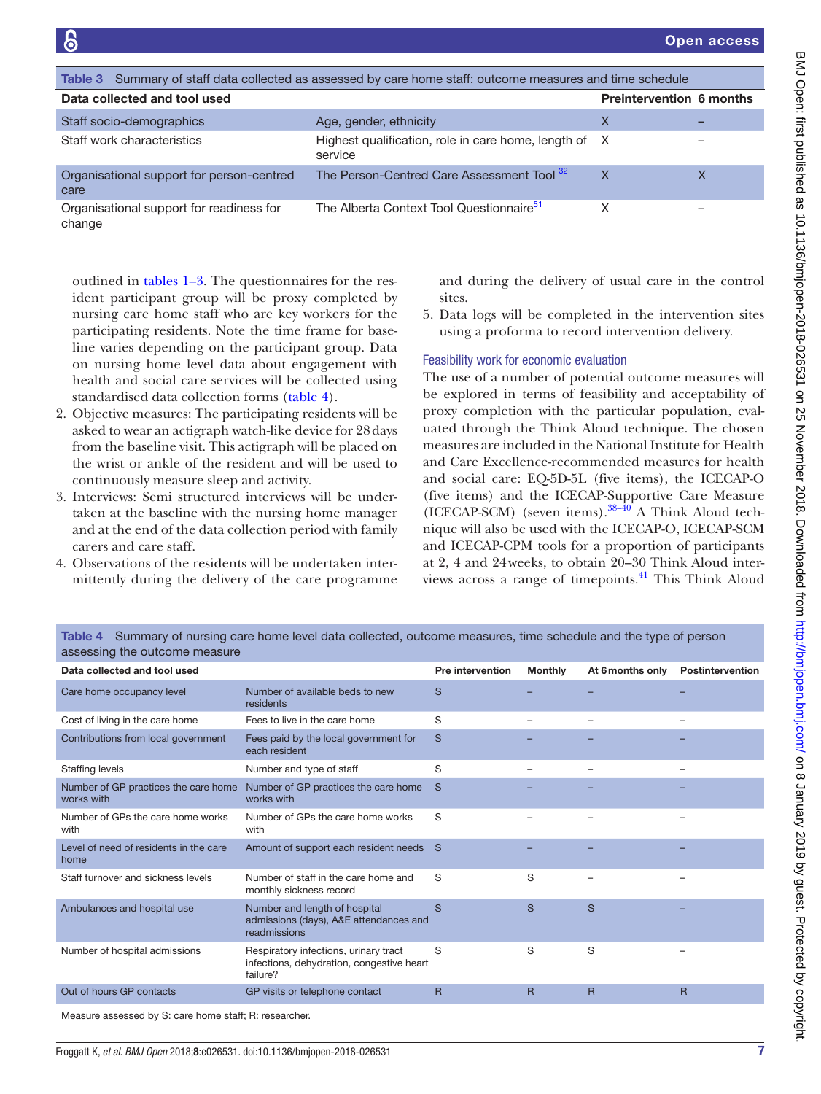<span id="page-6-0"></span>

| Table 3 Summary of staff data collected as assessed by care home staff: outcome measures and time schedule |                                                                  |                                 |   |
|------------------------------------------------------------------------------------------------------------|------------------------------------------------------------------|---------------------------------|---|
| Data collected and tool used                                                                               |                                                                  | <b>Preintervention 6 months</b> |   |
| Staff socio-demographics                                                                                   | Age, gender, ethnicity                                           | х                               |   |
| Staff work characteristics                                                                                 | Highest qualification, role in care home, length of X<br>service |                                 |   |
| Organisational support for person-centred<br>care                                                          | The Person-Centred Care Assessment Tool 32                       | X                               | X |
| Organisational support for readiness for<br>change                                                         | The Alberta Context Tool Questionnaire <sup>51</sup>             | X                               | - |

outlined in [tables](#page-5-0) 1–3. The questionnaires for the resident participant group will be proxy completed by nursing care home staff who are key workers for the participating residents. Note the time frame for baseline varies depending on the participant group. Data on nursing home level data about engagement with health and social care services will be collected using standardised data collection forms [\(table](#page-6-1) 4).

- 2. Objective measures: The participating residents will be asked to wear an actigraph watch-like device for 28days from the baseline visit. This actigraph will be placed on the wrist or ankle of the resident and will be used to continuously measure sleep and activity.
- 3. Interviews: Semi structured interviews will be undertaken at the baseline with the nursing home manager and at the end of the data collection period with family carers and care staff.
- 4. Observations of the residents will be undertaken intermittently during the delivery of the care programme

and during the delivery of usual care in the control sites.

5. Data logs will be completed in the intervention sites using a proforma to record intervention delivery.

#### Feasibility work for economic evaluation

The use of a number of potential outcome measures will be explored in terms of feasibility and acceptability of proxy completion with the particular population, evaluated through the Think Aloud technique. The chosen measures are included in the National Institute for Health and Care Excellence-recommended measures for health and social care: EQ-5D-5L (five items), the ICECAP-O (five items) and the ICECAP-Supportive Care Measure (ICECAP-SCM) (seven items). $38-40$  A Think Aloud technique will also be used with the ICECAP-O, ICECAP-SCM and ICECAP-CPM tools for a proportion of participants at 2, 4 and 24weeks, to obtain 20–30 Think Aloud inter-views across a range of timepoints.<sup>[41](#page-9-26)</sup> This Think Aloud

<span id="page-6-1"></span>Table 4 Summary of nursing care home level data collected, outcome measures, time schedule and the type of person assessing the outcome measure

| Data collected and tool used                       |                                                                                                | <b>Pre intervention</b> | <b>Monthly</b> | At 6 months only | <b>Postintervention</b> |
|----------------------------------------------------|------------------------------------------------------------------------------------------------|-------------------------|----------------|------------------|-------------------------|
| Care home occupancy level                          | Number of available beds to new<br>residents                                                   | S                       |                |                  |                         |
| Cost of living in the care home                    | Fees to live in the care home                                                                  | S                       |                |                  |                         |
| Contributions from local government                | Fees paid by the local government for<br>each resident                                         | S                       |                |                  |                         |
| <b>Staffing levels</b>                             | Number and type of staff                                                                       | S                       |                |                  |                         |
| Number of GP practices the care home<br>works with | Number of GP practices the care home<br>works with                                             | S                       |                |                  |                         |
| Number of GPs the care home works<br>with          | Number of GPs the care home works<br>with                                                      | S                       |                |                  |                         |
| Level of need of residents in the care<br>home     | Amount of support each resident needs S                                                        |                         |                |                  |                         |
| Staff turnover and sickness levels                 | Number of staff in the care home and<br>monthly sickness record                                | S                       | S              |                  |                         |
| Ambulances and hospital use                        | Number and length of hospital<br>admissions (days), A&E attendances and<br>readmissions        | S                       | S              | S                |                         |
| Number of hospital admissions                      | Respiratory infections, urinary tract<br>infections, dehydration, congestive heart<br>failure? | S                       | S              | S                |                         |
| Out of hours GP contacts                           | GP visits or telephone contact                                                                 | R                       | R              | $\overline{R}$   | R                       |
|                                                    |                                                                                                |                         |                |                  |                         |

Measure assessed by S: care home staff; R: researcher.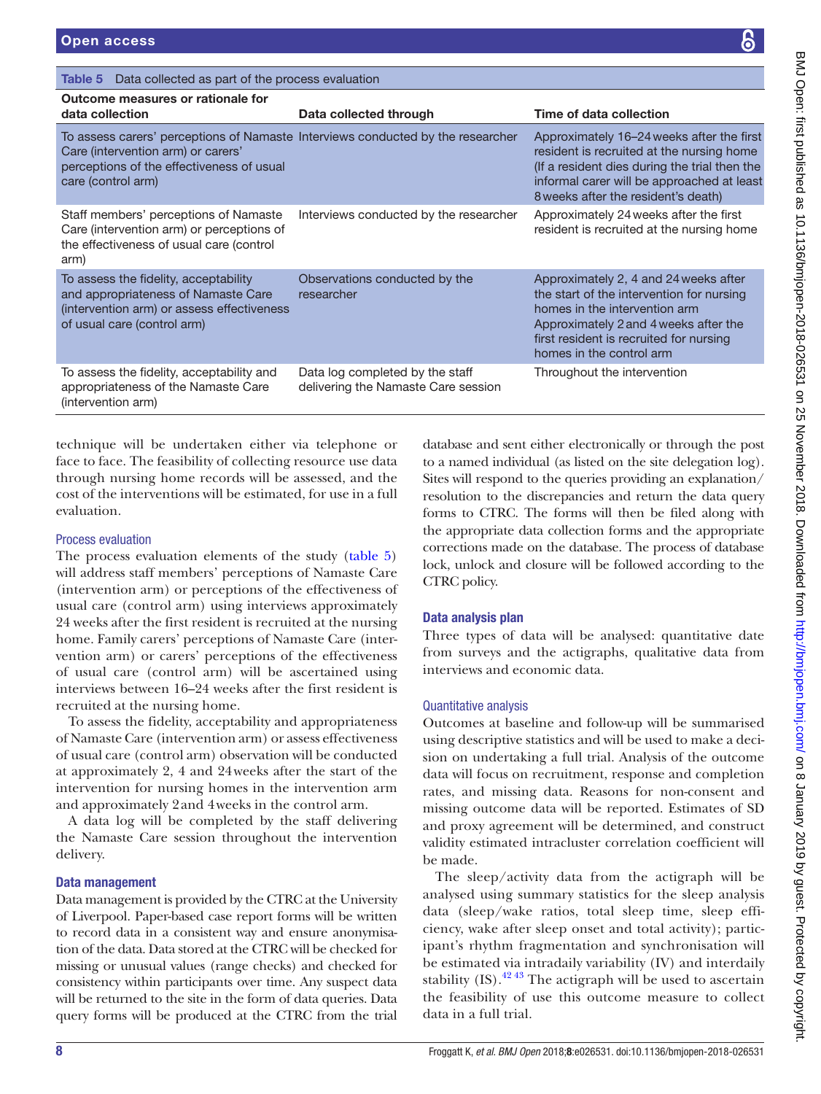#### <span id="page-7-0"></span>Table 5 Data collected as part of the process evaluation

| Outcome measures or rationale for<br>data collection                                                                                                                                     | Data collected through                                                 | Time of data collection                                                                                                                                                                                                             |
|------------------------------------------------------------------------------------------------------------------------------------------------------------------------------------------|------------------------------------------------------------------------|-------------------------------------------------------------------------------------------------------------------------------------------------------------------------------------------------------------------------------------|
| To assess carers' perceptions of Namaste Interviews conducted by the researcher<br>Care (intervention arm) or carers'<br>perceptions of the effectiveness of usual<br>care (control arm) |                                                                        | Approximately 16–24 weeks after the first<br>resident is recruited at the nursing home<br>(If a resident dies during the trial then the<br>informal carer will be approached at least<br>8 weeks after the resident's death)        |
| Staff members' perceptions of Namaste<br>Care (intervention arm) or perceptions of<br>the effectiveness of usual care (control<br>arm)                                                   | Interviews conducted by the researcher                                 | Approximately 24 weeks after the first<br>resident is recruited at the nursing home                                                                                                                                                 |
| To assess the fidelity, acceptability<br>and appropriateness of Namaste Care<br>(intervention arm) or assess effectiveness<br>of usual care (control arm)                                | Observations conducted by the<br>researcher                            | Approximately 2, 4 and 24 weeks after<br>the start of the intervention for nursing<br>homes in the intervention arm<br>Approximately 2 and 4 weeks after the<br>first resident is recruited for nursing<br>homes in the control arm |
| To assess the fidelity, acceptability and<br>appropriateness of the Namaste Care<br>(intervention arm)                                                                                   | Data log completed by the staff<br>delivering the Namaste Care session | Throughout the intervention                                                                                                                                                                                                         |

technique will be undertaken either via telephone or face to face. The feasibility of collecting resource use data through nursing home records will be assessed, and the cost of the interventions will be estimated, for use in a full evaluation.

#### Process evaluation

The process evaluation elements of the study [\(table](#page-7-0) 5) will address staff members' perceptions of Namaste Care (intervention arm) or perceptions of the effectiveness of usual care (control arm) using interviews approximately 24 weeks after the first resident is recruited at the nursing home. Family carers' perceptions of Namaste Care (intervention arm) or carers' perceptions of the effectiveness of usual care (control arm) will be ascertained using interviews between 16–24 weeks after the first resident is recruited at the nursing home.

To assess the fidelity, acceptability and appropriateness of Namaste Care (intervention arm) or assess effectiveness of usual care (control arm) observation will be conducted at approximately 2, 4 and 24weeks after the start of the intervention for nursing homes in the intervention arm and approximately 2and 4weeks in the control arm.

A data log will be completed by the staff delivering the Namaste Care session throughout the intervention delivery.

#### Data management

Data management is provided by the CTRC at the University of Liverpool. Paper-based case report forms will be written to record data in a consistent way and ensure anonymisation of the data. Data stored at the CTRC will be checked for missing or unusual values (range checks) and checked for consistency within participants over time. Any suspect data will be returned to the site in the form of data queries. Data query forms will be produced at the CTRC from the trial

database and sent either electronically or through the post to a named individual (as listed on the site delegation log). Sites will respond to the queries providing an explanation/ resolution to the discrepancies and return the data query forms to CTRC. The forms will then be filed along with the appropriate data collection forms and the appropriate corrections made on the database. The process of database lock, unlock and closure will be followed according to the CTRC policy.

## Data analysis plan

Three types of data will be analysed: quantitative date from surveys and the actigraphs, qualitative data from interviews and economic data.

#### Quantitative analysis

Outcomes at baseline and follow-up will be summarised using descriptive statistics and will be used to make a decision on undertaking a full trial. Analysis of the outcome data will focus on recruitment, response and completion rates, and missing data. Reasons for non-consent and missing outcome data will be reported. Estimates of SD and proxy agreement will be determined, and construct validity estimated intracluster correlation coefficient will be made.

The sleep/activity data from the actigraph will be analysed using summary statistics for the sleep analysis data (sleep/wake ratios, total sleep time, sleep efficiency, wake after sleep onset and total activity); participant's rhythm fragmentation and synchronisation will be estimated via intradaily variability (IV) and interdaily stability  $(IS)$ .<sup>[42 43](#page-10-4)</sup> The actigraph will be used to ascertain the feasibility of use this outcome measure to collect data in a full trial.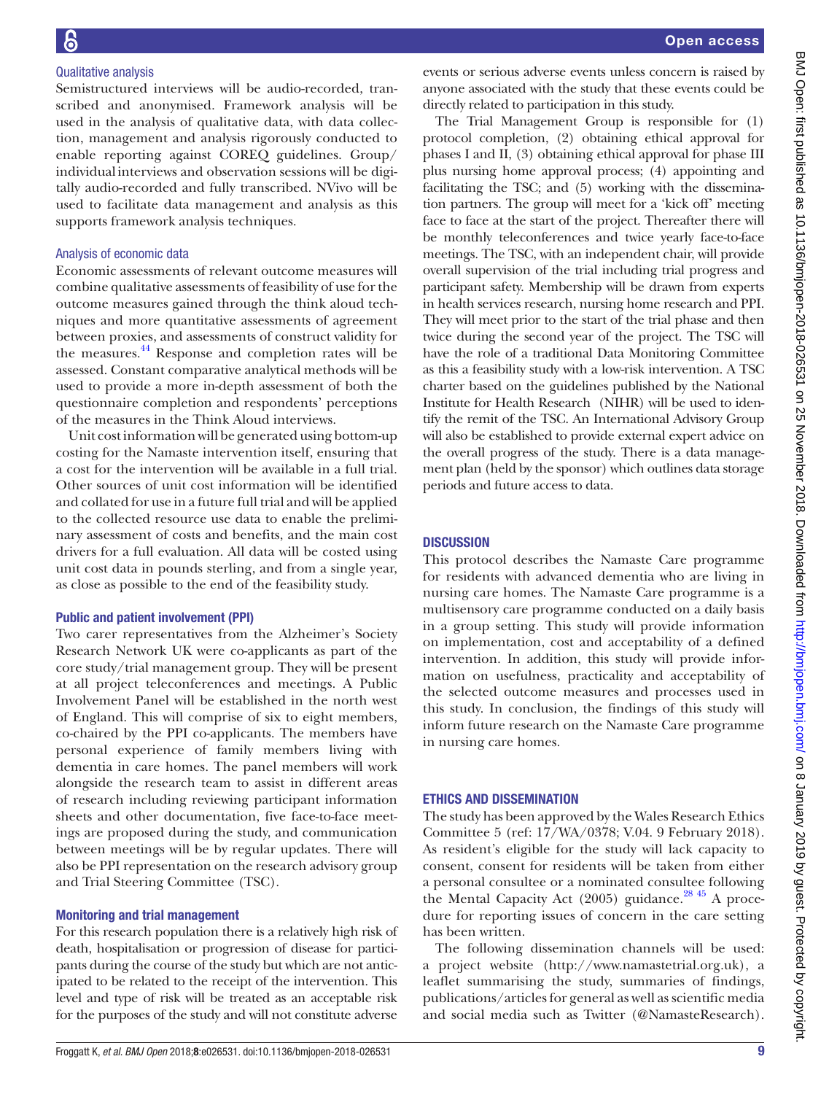## Qualitative analysis

Semistructured interviews will be audio-recorded, transcribed and anonymised. Framework analysis will be used in the analysis of qualitative data, with data collection, management and analysis rigorously conducted to enable reporting against COREQ guidelines. Group/ individualinterviews and observation sessions will be digitally audio-recorded and fully transcribed. NVivo will be used to facilitate data management and analysis as this supports framework analysis techniques.

#### Analysis of economic data

Economic assessments of relevant outcome measures will combine qualitative assessments of feasibility of use for the outcome measures gained through the think aloud techniques and more quantitative assessments of agreement between proxies, and assessments of construct validity for the measures.<sup>44</sup> Response and completion rates will be assessed. Constant comparative analytical methods will be used to provide a more in-depth assessment of both the questionnaire completion and respondents' perceptions of the measures in the Think Aloud interviews.

Unit cost information will be generated using bottom-up costing for the Namaste intervention itself, ensuring that a cost for the intervention will be available in a full trial. Other sources of unit cost information will be identified and collated for use in a future full trial and will be applied to the collected resource use data to enable the preliminary assessment of costs and benefits, and the main cost drivers for a full evaluation. All data will be costed using unit cost data in pounds sterling, and from a single year, as close as possible to the end of the feasibility study.

#### Public and patient involvement (PPI)

Two carer representatives from the Alzheimer's Society Research Network UK were co-applicants as part of the core study/trial management group. They will be present at all project teleconferences and meetings. A Public Involvement Panel will be established in the north west of England. This will comprise of six to eight members, co-chaired by the PPI co-applicants. The members have personal experience of family members living with dementia in care homes. The panel members will work alongside the research team to assist in different areas of research including reviewing participant information sheets and other documentation, five face-to-face meetings are proposed during the study, and communication between meetings will be by regular updates. There will also be PPI representation on the research advisory group and Trial Steering Committee (TSC).

#### Monitoring and trial management

For this research population there is a relatively high risk of death, hospitalisation or progression of disease for participants during the course of the study but which are not anticipated to be related to the receipt of the intervention. This level and type of risk will be treated as an acceptable risk for the purposes of the study and will not constitute adverse

events or serious adverse events unless concern is raised by anyone associated with the study that these events could be directly related to participation in this study.

The Trial Management Group is responsible for (1) protocol completion, (2) obtaining ethical approval for phases I and II, (3) obtaining ethical approval for phase III plus nursing home approval process; (4) appointing and facilitating the TSC; and (5) working with the dissemination partners. The group will meet for a 'kick off' meeting face to face at the start of the project. Thereafter there will be monthly teleconferences and twice yearly face-to-face meetings. The TSC, with an independent chair, will provide overall supervision of the trial including trial progress and participant safety. Membership will be drawn from experts in health services research, nursing home research and PPI. They will meet prior to the start of the trial phase and then twice during the second year of the project. The TSC will have the role of a traditional Data Monitoring Committee as this a feasibility study with a low-risk intervention. A TSC charter based on the guidelines published by the National Institute for Health Research (NIHR) will be used to identify the remit of the TSC. An International Advisory Group will also be established to provide external expert advice on the overall progress of the study. There is a data management plan (held by the sponsor) which outlines data storage periods and future access to data.

#### **DISCUSSION**

This protocol describes the Namaste Care programme for residents with advanced dementia who are living in nursing care homes. The Namaste Care programme is a multisensory care programme conducted on a daily basis in a group setting. This study will provide information on implementation, cost and acceptability of a defined intervention. In addition, this study will provide information on usefulness, practicality and acceptability of the selected outcome measures and processes used in this study. In conclusion, the findings of this study will inform future research on the Namaste Care programme in nursing care homes.

#### Ethics and dissemination

The study has been approved by the Wales Research Ethics Committee 5 (ref: 17/WA/0378; V.04. 9 February 2018). As resident's eligible for the study will lack capacity to consent, consent for residents will be taken from either a personal consultee or a nominated consultee following the Mental Capacity Act (2005) guidance.<sup>28 45</sup> A procedure for reporting issues of concern in the care setting has been written.

The following dissemination channels will be used: a project website [\(http://www.namastetrial.org.uk](http://www.namastetrial.org.uk)), a leaflet summarising the study, summaries of findings, publications/articles for general as well as scientific media and social media such as Twitter (@NamasteResearch).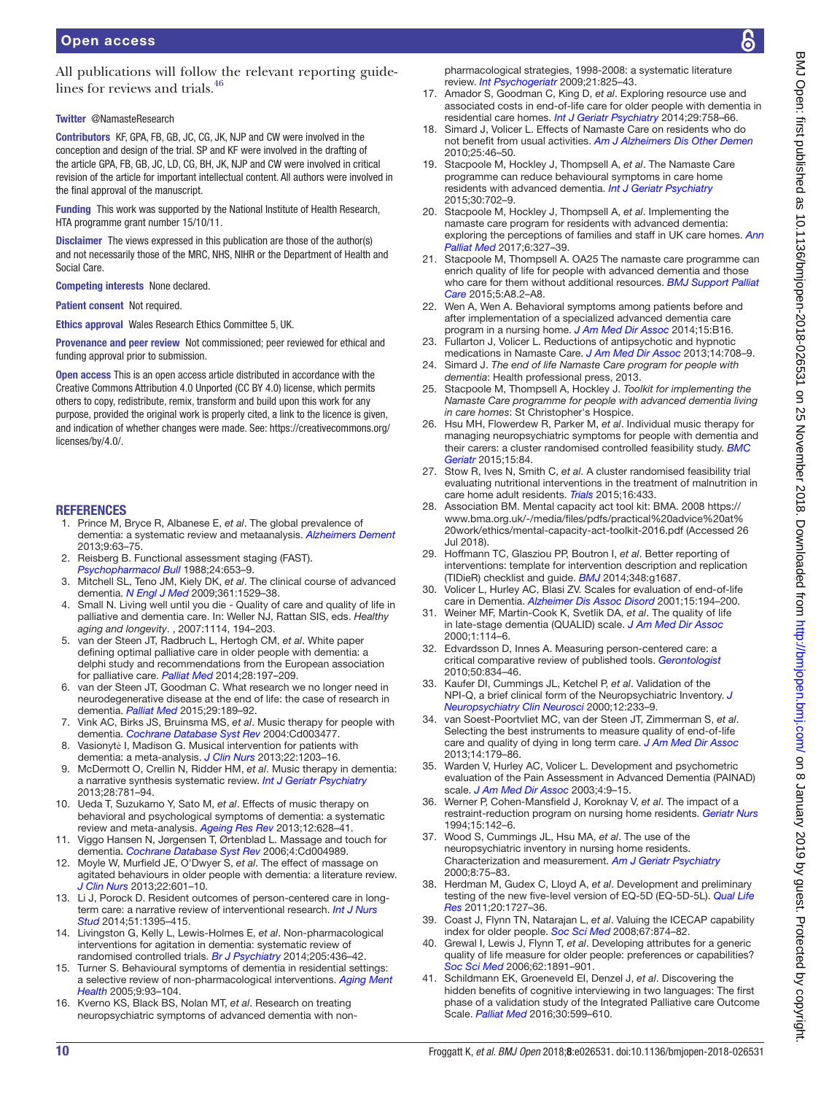### All publications will follow the relevant reporting guidelines for reviews and trials.<sup>46</sup>

#### Twitter @NamasteResearch

Contributors KF, GPA, FB, GB, JC, CG, JK, NJP and CW were involved in the conception and design of the trial. SP and KF were involved in the drafting of the article GPA, FB, GB, JC, LD, CG, BH, JK, NJP and CW were involved in critical revision of the article for important intellectual content. All authors were involved in the final approval of the manuscript.

Funding This work was supported by the National Institute of Health Research, HTA programme grant number 15/10/11.

Disclaimer The views expressed in this publication are those of the author(s) and not necessarily those of the MRC, NHS, NIHR or the Department of Health and Social Care.

Competing interests None declared.

Patient consent Not required.

Ethics approval Wales Research Ethics Committee 5, UK.

Provenance and peer review Not commissioned; peer reviewed for ethical and funding approval prior to submission.

Open access This is an open access article distributed in accordance with the Creative Commons Attribution 4.0 Unported (CC BY 4.0) license, which permits others to copy, redistribute, remix, transform and build upon this work for any purpose, provided the original work is properly cited, a link to the licence is given, and indication of whether changes were made. See: [https://creativecommons.org/](https://creativecommons.org/licenses/by/4.0/) [licenses/by/4.0/.](https://creativecommons.org/licenses/by/4.0/)

#### **REFERENCES**

- <span id="page-9-0"></span>1. Prince M, Bryce R, Albanese E, *et al*. The global prevalence of dementia: a systematic review and metaanalysis. *[Alzheimers Dement](http://dx.doi.org/10.1016/j.jalz.2012.11.007)* 2013;9:63–75.
- <span id="page-9-1"></span>2. Reisberg B. Functional assessment staging (FAST). *[Psychopharmacol Bull](http://www.ncbi.nlm.nih.gov/pubmed/3249767)* 1988;24:653–9.
- <span id="page-9-2"></span>3. Mitchell SL, Teno JM, Kiely DK, *et al*. The clinical course of advanced dementia. *[N Engl J Med](http://dx.doi.org/10.1056/NEJMoa0902234)* 2009;361:1529–38.
- 4. Small N. Living well until you die Quality of care and quality of life in palliative and dementia care. In: Weller NJ, Rattan SIS, eds. *[Healthy](http://dx.doi.org/10.1196/annals.1396.019)  [aging and longevity](http://dx.doi.org/10.1196/annals.1396.019)*. , 2007:1114, 194–203.
- <span id="page-9-3"></span>5. van der Steen JT, Radbruch L, Hertogh CM, *et al*. White paper defining optimal palliative care in older people with dementia: a delphi study and recommendations from the European association for palliative care. *[Palliat Med](http://dx.doi.org/10.1177/0269216313493685)* 2014;28:197–209.
- 6. van der Steen JT, Goodman C. What research we no longer need in neurodegenerative disease at the end of life: the case of research in dementia. *[Palliat Med](http://dx.doi.org/10.1177/0269216315569998)* 2015;29:189–92.
- <span id="page-9-4"></span>7. Vink AC, Birks JS, Bruinsma MS, *et al*. Music therapy for people with dementia. *[Cochrane Database Syst Rev](http://dx.doi.org/10.1002/14651858.CD003477.pub2)* 2004:Cd003477.
- <span id="page-9-5"></span>8. Vasionytė I, Madison G. Musical intervention for patients with dementia: a meta-analysis. *[J Clin Nurs](http://dx.doi.org/10.1111/jocn.12166)* 2013;22:1203–16.
- <span id="page-9-6"></span>9. McDermott O, Crellin N, Ridder HM, *et al*. Music therapy in dementia: a narrative synthesis systematic review. *[Int J Geriatr Psychiatry](http://dx.doi.org/10.1002/gps.3895)* 2013;28:781–94.
- 10. Ueda T, Suzukamo Y, Sato M, *et al*. Effects of music therapy on behavioral and psychological symptoms of dementia: a systematic review and meta-analysis. *[Ageing Res Rev](http://dx.doi.org/10.1016/j.arr.2013.02.003)* 2013;12:628–41.
- <span id="page-9-7"></span>11. Viggo Hansen N, Jørgensen T, Ørtenblad L. Massage and touch for dementia. *[Cochrane Database Syst Rev](http://dx.doi.org/10.1002/14651858.CD004989.pub2)* 2006;4:Cd004989.
- <span id="page-9-8"></span>12. Moyle W, Murfield JE, O'Dwyer S, *et al*. The effect of massage on agitated behaviours in older people with dementia: a literature review. *[J Clin Nurs](http://dx.doi.org/10.1111/j.1365-2702.2012.04234.x)* 2013;22:601–10.
- <span id="page-9-9"></span>13. Li J, Porock D. Resident outcomes of person-centered care in longterm care: a narrative review of interventional research. *[Int J Nurs](http://dx.doi.org/10.1016/j.ijnurstu.2014.04.003)  [Stud](http://dx.doi.org/10.1016/j.ijnurstu.2014.04.003)* 2014;51:1395–415.
- 14. Livingston G, Kelly L, Lewis-Holmes E, *et al*. Non-pharmacological interventions for agitation in dementia: systematic review of randomised controlled trials. *[Br J Psychiatry](http://dx.doi.org/10.1192/bjp.bp.113.141119)* 2014;205:436–42.
- 15. Turner S. Behavioural symptoms of dementia in residential settings: a selective review of non-pharmacological interventions. *[Aging Ment](http://dx.doi.org/10.1080/13607860512331339090)  [Health](http://dx.doi.org/10.1080/13607860512331339090)* 2005;9:93–104.
- <span id="page-9-10"></span>16. Kverno KS, Black BS, Nolan MT, *et al*. Research on treating neuropsychiatric symptoms of advanced dementia with non-

pharmacological strategies, 1998-2008: a systematic literature review. *[Int Psychogeriatr](http://dx.doi.org/10.1017/S1041610209990196)* 2009;21:825–43.

- <span id="page-9-11"></span>17. Amador S, Goodman C, King D, *et al*. Exploring resource use and associated costs in end-of-life care for older people with dementia in residential care homes. *[Int J Geriatr Psychiatry](http://dx.doi.org/10.1002/gps.4061)* 2014;29:758–66.
- <span id="page-9-12"></span>18. Simard J, Volicer L. Effects of Namaste Care on residents who do not benefit from usual activities. *[Am J Alzheimers Dis Other Demen](http://dx.doi.org/10.1177/1533317509333258)* 2010;25:46–50.
- <span id="page-9-13"></span>19. Stacpoole M, Hockley J, Thompsell A, *et al*. The Namaste Care programme can reduce behavioural symptoms in care home residents with advanced dementia. *[Int J Geriatr Psychiatry](http://dx.doi.org/10.1002/gps.4211)* 2015;30:702–9.
- 20. Stacpoole M, Hockley J, Thompsell A, *et al*. Implementing the namaste care program for residents with advanced dementia: exploring the perceptions of families and staff in UK care homes. *[Ann](http://dx.doi.org/10.21037/apm.2017.06.26)  [Palliat Med](http://dx.doi.org/10.21037/apm.2017.06.26)* 2017;6:327–39.
- 21. Stacpoole M, Thompsell A. OA25 The namaste care programme can enrich quality of life for people with advanced dementia and those who care for them without additional resources. *[BMJ Support Palliat](http://dx.doi.org/10.1136/bmjspcare-2015-000906.25)  [Care](http://dx.doi.org/10.1136/bmjspcare-2015-000906.25)* 2015;5:A8.2–A8.
- 22. Wen A, Wen A. Behavioral symptoms among patients before and after implementation of a specialized advanced dementia care program in a nursing home. *[J Am Med Dir Assoc](http://dx.doi.org/10.1016/j.jamda.2013.12.043)* 2014;15:B16.
- 23. Fullarton J, Volicer L. Reductions of antipsychotic and hypnotic medications in Namaste Care. *[J Am Med Dir Assoc](http://dx.doi.org/10.1016/j.jamda.2013.06.002)* 2013;14:708–9.
- <span id="page-9-14"></span>24. Simard J. *The end of life Namaste Care program for people with dementia*: Health professional press, 2013.
- 25. Stacpoole M, Thompsell A, Hockley J. *Toolkit for implementing the Namaste Care programme for people with advanced dementia living in care homes*: St Christopher's Hospice.
- <span id="page-9-15"></span>26. Hsu MH, Flowerdew R, Parker M, *et al*. Individual music therapy for managing neuropsychiatric symptoms for people with dementia and their carers: a cluster randomised controlled feasibility study. *[BMC](http://dx.doi.org/10.1186/s12877-015-0082-4)  [Geriatr](http://dx.doi.org/10.1186/s12877-015-0082-4)* 2015;15:84.
- <span id="page-9-16"></span>27. Stow R, Ives N, Smith C, *et al*. A cluster randomised feasibility trial evaluating nutritional interventions in the treatment of malnutrition in care home adult residents. *[Trials](http://dx.doi.org/10.1186/s13063-015-0952-2)* 2015;16:433.
- <span id="page-9-17"></span>28. Association BM. Mental capacity act tool kit: BMA. 2008 [https://](https://www.bma.org.uk/-/media/files/pdfs/practical%20advice%20at%20work/ethics/mental-capacity-act-toolkit-2016.pdf) [www.bma.org.uk/-/media/files/pdfs/practical%20advice%20at%](https://www.bma.org.uk/-/media/files/pdfs/practical%20advice%20at%20work/ethics/mental-capacity-act-toolkit-2016.pdf) [20work/ethics/mental-capacity-act-toolkit-2016.pdf](https://www.bma.org.uk/-/media/files/pdfs/practical%20advice%20at%20work/ethics/mental-capacity-act-toolkit-2016.pdf) (Accessed 26 Jul 2018).
- <span id="page-9-18"></span>29. Hoffmann TC, Glasziou PP, Boutron I, *et al*. Better reporting of interventions: template for intervention description and replication (TIDieR) checklist and guide. *[BMJ](http://dx.doi.org/10.1136/bmj.g1687)* 2014;348:g1687.
- <span id="page-9-19"></span>30. Volicer L, Hurley AC, Blasi ZV. Scales for evaluation of end-of-life care in Dementia. *[Alzheimer Dis Assoc Disord](http://dx.doi.org/10.1097/00002093-200110000-00005)* 2001;15:194–200.
- 31. Weiner MF, Martin-Cook K, Svetlik DA, *et al*. The quality of life in late-stage dementia (QUALID) scale. *[J Am Med Dir Assoc](http://www.ncbi.nlm.nih.gov/pubmed/12818023)* 2000;1:114–6.
- <span id="page-9-20"></span>32. Edvardsson D, Innes A. Measuring person-centered care: a critical comparative review of published tools. *[Gerontologist](http://dx.doi.org/10.1093/geront/gnq047)* 2010;50:834–46.
- 33. Kaufer DI, Cummings JL, Ketchel P, *et al*. Validation of the NPI-Q, a brief clinical form of the Neuropsychiatric Inventory. *[J](http://dx.doi.org/10.1176/jnp.12.2.233)  [Neuropsychiatry Clin Neurosci](http://dx.doi.org/10.1176/jnp.12.2.233)* 2000;12:233–9.
- <span id="page-9-25"></span>34. van Soest-Poortvliet MC, van der Steen JT, Zimmerman S, *et al*. Selecting the best instruments to measure quality of end-of-life care and quality of dying in long term care. *[J Am Med Dir Assoc](http://dx.doi.org/10.1016/j.jamda.2012.09.019)* 2013;14:179–86.
- <span id="page-9-23"></span>35. Warden V, Hurley AC, Volicer L. Development and psychometric evaluation of the Pain Assessment in Advanced Dementia (PAINAD) scale. *[J Am Med Dir Assoc](http://dx.doi.org/10.1097/01.JAM.0000043422.31640.F7)* 2003;4:9–15.
- <span id="page-9-24"></span>36. Werner P, Cohen-Mansfield J, Koroknay V, *et al*. The impact of a restraint-reduction program on nursing home residents. *[Geriatr Nurs](http://dx.doi.org/10.1016/S0197-4572(09)90040-4)* 1994;15:142–6.
- 37. Wood S, Cummings JL, Hsu MA, *et al*. The use of the neuropsychiatric inventory in nursing home residents. Characterization and measurement. *[Am J Geriatr Psychiatry](http://dx.doi.org/10.1097/00019442-200002000-00010)* 2000;8:75–83.
- <span id="page-9-21"></span>38. Herdman M, Gudex C, Lloyd A, *et al*. Development and preliminary testing of the new five-level version of EQ-5D (EQ-5D-5L). *[Qual Life](http://dx.doi.org/10.1007/s11136-011-9903-x)  [Res](http://dx.doi.org/10.1007/s11136-011-9903-x)* 2011;20:1727–36.
- <span id="page-9-22"></span>39. Coast J, Flynn TN, Natarajan L, *et al*. Valuing the ICECAP capability index for older people. *[Soc Sci Med](http://dx.doi.org/10.1016/j.socscimed.2008.05.015)* 2008;67:874–82.
- 40. Grewal I, Lewis J, Flynn T, *et al*. Developing attributes for a generic quality of life measure for older people: preferences or capabilities? *[Soc Sci Med](http://dx.doi.org/10.1016/j.socscimed.2005.08.023)* 2006;62:1891–901.
- <span id="page-9-26"></span>41. Schildmann EK, Groeneveld EI, Denzel J, *et al*. Discovering the hidden benefits of cognitive interviewing in two languages: The first phase of a validation study of the Integrated Palliative care Outcome Scale. *[Palliat Med](http://dx.doi.org/10.1177/0269216315608348)* 2016;30:599–610.